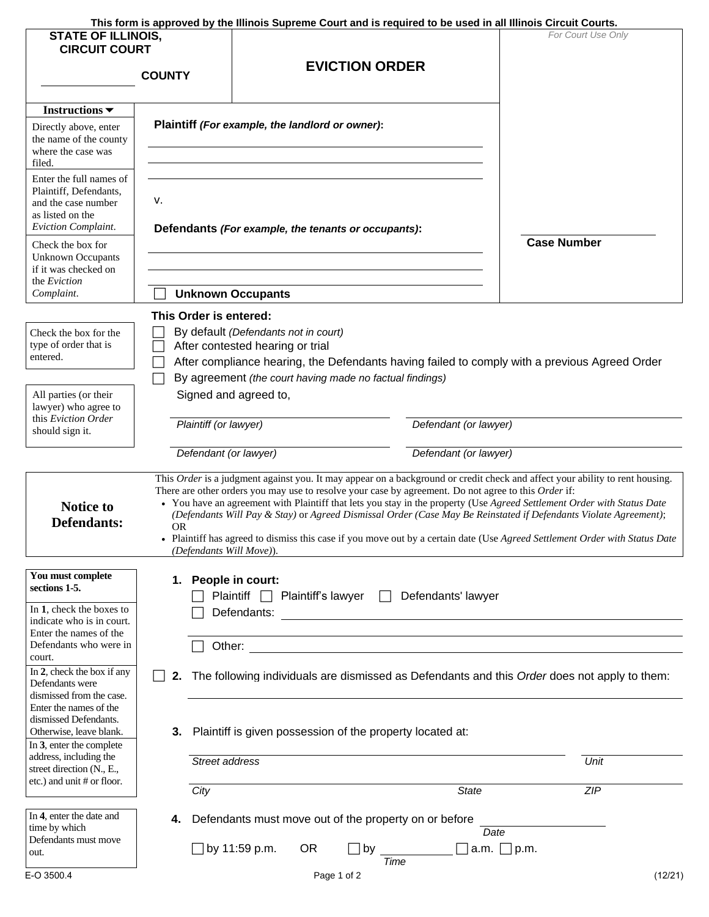| This form is approved by the Illinois Supreme Court and is required to be used in all Illinois Circuit Courts. |  |  |
|----------------------------------------------------------------------------------------------------------------|--|--|
|                                                                                                                |  |  |

|                                                                                                                     | This form is approved by the Illinois Supreme Court and is required to be used in all Illinois Circuit Courts.                                                                                                                                                                                                                                                                                                                                                                                                                                                                                                                                       |                                                                                                                                      |           |                       |                    |                                                    |                  |                                                                                               |
|---------------------------------------------------------------------------------------------------------------------|------------------------------------------------------------------------------------------------------------------------------------------------------------------------------------------------------------------------------------------------------------------------------------------------------------------------------------------------------------------------------------------------------------------------------------------------------------------------------------------------------------------------------------------------------------------------------------------------------------------------------------------------------|--------------------------------------------------------------------------------------------------------------------------------------|-----------|-----------------------|--------------------|----------------------------------------------------|------------------|-----------------------------------------------------------------------------------------------|
| <b>STATE OF ILLINOIS,</b><br><b>CIRCUIT COURT</b>                                                                   |                                                                                                                                                                                                                                                                                                                                                                                                                                                                                                                                                                                                                                                      |                                                                                                                                      |           |                       |                    |                                                    |                  | For Court Use Only                                                                            |
|                                                                                                                     | <b>COUNTY</b>                                                                                                                                                                                                                                                                                                                                                                                                                                                                                                                                                                                                                                        |                                                                                                                                      |           | <b>EVICTION ORDER</b> |                    |                                                    |                  |                                                                                               |
| Instructions $\blacktriangledown$                                                                                   |                                                                                                                                                                                                                                                                                                                                                                                                                                                                                                                                                                                                                                                      |                                                                                                                                      |           |                       |                    |                                                    |                  |                                                                                               |
| Directly above, enter<br>the name of the county<br>where the case was<br>filed.                                     | Plaintiff (For example, the landlord or owner):                                                                                                                                                                                                                                                                                                                                                                                                                                                                                                                                                                                                      |                                                                                                                                      |           |                       |                    |                                                    |                  |                                                                                               |
| Enter the full names of<br>Plaintiff, Defendants,<br>and the case number<br>as listed on the<br>Eviction Complaint. | ν.<br>Defendants (For example, the tenants or occupants):                                                                                                                                                                                                                                                                                                                                                                                                                                                                                                                                                                                            |                                                                                                                                      |           |                       | <b>Case Number</b> |                                                    |                  |                                                                                               |
| Check the box for<br><b>Unknown Occupants</b><br>if it was checked on<br>the Eviction                               |                                                                                                                                                                                                                                                                                                                                                                                                                                                                                                                                                                                                                                                      |                                                                                                                                      |           |                       |                    |                                                    |                  |                                                                                               |
| Complaint.                                                                                                          |                                                                                                                                                                                                                                                                                                                                                                                                                                                                                                                                                                                                                                                      | <b>Unknown Occupants</b>                                                                                                             |           |                       |                    |                                                    |                  |                                                                                               |
|                                                                                                                     | This Order is entered:                                                                                                                                                                                                                                                                                                                                                                                                                                                                                                                                                                                                                               |                                                                                                                                      |           |                       |                    |                                                    |                  |                                                                                               |
| Check the box for the<br>type of order that is<br>entered.                                                          |                                                                                                                                                                                                                                                                                                                                                                                                                                                                                                                                                                                                                                                      | By default (Defendants not in court)<br>After contested hearing or trial<br>By agreement (the court having made no factual findings) |           |                       |                    |                                                    |                  | After compliance hearing, the Defendants having failed to comply with a previous Agreed Order |
| All parties (or their<br>lawyer) who agree to                                                                       |                                                                                                                                                                                                                                                                                                                                                                                                                                                                                                                                                                                                                                                      | Signed and agreed to,                                                                                                                |           |                       |                    |                                                    |                  |                                                                                               |
| this Eviction Order<br>should sign it.                                                                              | Plaintiff (or lawyer)                                                                                                                                                                                                                                                                                                                                                                                                                                                                                                                                                                                                                                | Defendant (or lawyer)                                                                                                                |           |                       |                    |                                                    |                  |                                                                                               |
|                                                                                                                     | Defendant (or lawyer)                                                                                                                                                                                                                                                                                                                                                                                                                                                                                                                                                                                                                                |                                                                                                                                      |           |                       |                    | Defendant (or lawyer)                              |                  |                                                                                               |
| <b>Notice to</b><br><b>Defendants:</b>                                                                              | This Order is a judgment against you. It may appear on a background or credit check and affect your ability to rent housing.<br>There are other orders you may use to resolve your case by agreement. Do not agree to this Order if:<br>• You have an agreement with Plaintiff that lets you stay in the property (Use Agreed Settlement Order with Status Date<br>(Defendants Will Pay & Stay) or Agreed Dismissal Order (Case May Be Reinstated if Defendants Violate Agreement);<br>0R<br>• Plaintiff has agreed to dismiss this case if you move out by a certain date (Use Agreed Settlement Order with Status Date<br>(Defendants Will Move)). |                                                                                                                                      |           |                       |                    |                                                    |                  |                                                                                               |
| You must complete<br>sections 1-5.<br>In 1, check the boxes to                                                      | 1. People in court:                                                                                                                                                                                                                                                                                                                                                                                                                                                                                                                                                                                                                                  | Plaintiff   Plaintiff's lawyer                                                                                                       |           | $\Box$                |                    | Defendants' lawyer                                 |                  |                                                                                               |
| indicate who is in court.<br>Enter the names of the                                                                 |                                                                                                                                                                                                                                                                                                                                                                                                                                                                                                                                                                                                                                                      | Defendants:                                                                                                                          |           |                       |                    | <u> 1989 - John Stein, Amerikaansk politiker (</u> |                  |                                                                                               |
| Defendants who were in<br>court.<br>In 2, check the box if any                                                      | 2.                                                                                                                                                                                                                                                                                                                                                                                                                                                                                                                                                                                                                                                   | Other:                                                                                                                               |           |                       |                    |                                                    |                  | The following individuals are dismissed as Defendants and this Order does not apply to them:  |
| Defendants were<br>dismissed from the case.<br>Enter the names of the<br>dismissed Defendants.                      |                                                                                                                                                                                                                                                                                                                                                                                                                                                                                                                                                                                                                                                      |                                                                                                                                      |           |                       |                    |                                                    |                  |                                                                                               |
| Otherwise, leave blank.<br>In 3, enter the complete                                                                 |                                                                                                                                                                                                                                                                                                                                                                                                                                                                                                                                                                                                                                                      | 3. Plaintiff is given possession of the property located at:                                                                         |           |                       |                    |                                                    |                  |                                                                                               |
| address, including the<br>street direction (N., E.,<br>etc.) and unit # or floor.                                   | Street address                                                                                                                                                                                                                                                                                                                                                                                                                                                                                                                                                                                                                                       |                                                                                                                                      |           |                       |                    |                                                    |                  | Unit                                                                                          |
| In 4, enter the date and                                                                                            | City                                                                                                                                                                                                                                                                                                                                                                                                                                                                                                                                                                                                                                                 |                                                                                                                                      |           |                       |                    | State                                              |                  | ZIP                                                                                           |
| time by which<br>Defendants must move                                                                               | 4.                                                                                                                                                                                                                                                                                                                                                                                                                                                                                                                                                                                                                                                   | Defendants must move out of the property on or before                                                                                |           |                       |                    | Date                                               |                  |                                                                                               |
| out.                                                                                                                |                                                                                                                                                                                                                                                                                                                                                                                                                                                                                                                                                                                                                                                      | $\Box$ by 11:59 p.m.                                                                                                                 | <b>OR</b> | by                    | Time               |                                                    | a.m. $\Box$ p.m. |                                                                                               |